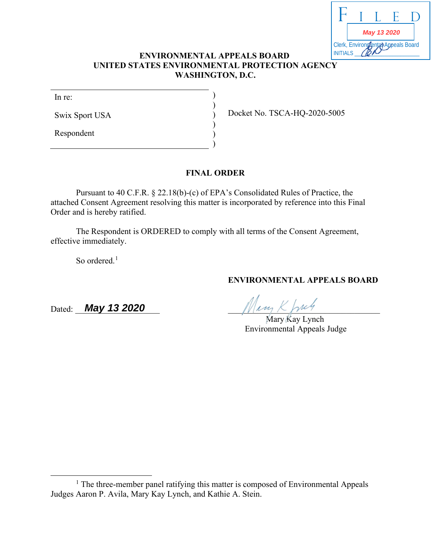|                                                      | May 13 2020 |  |  |  |
|------------------------------------------------------|-------------|--|--|--|
| Clerk, Environgental Appeals Board<br><b>IITIALS</b> |             |  |  |  |

### **ENVIRONMENTAL APPEALS BOARD UNITED STATES ENVIRONMENTAL PROTECTION AGENCY WASHINGTON, D.C.**

) ) ) ) ) )

In re:

Swix Sport USA

Respondent

Docket No. TSCA-HQ-2020-5005

### **FINAL ORDER**

Pursuant to 40 C.F.R. § 22.18(b)-(c) of EPA's Consolidated Rules of Practice, the attached Consent Agreement resolving this matter is incorporated by reference into this Final Order and is hereby ratified.

The Respondent is ORDERED to comply with all terms of the Consent Agreement, effective immediately.

So ordered. $<sup>1</sup>$ </sup>

Dated: **May 13 2020** Municipal Municipal Municipal Municipal Municipal Municipal Municipal Municipal Municipal Municipal Municipal Municipal Municipal Municipal Municipal Municipal Municipal Municipal Municipal Municipal M

Mary Kay Lynch Environmental Appeals Judge

**ENVIRONMENTAL APPEALS BOARD**

<sup>&</sup>lt;sup>1</sup> The three-member panel ratifying this matter is composed of Environmental Appeals Judges Aaron P. Avila, Mary Kay Lynch, and Kathie A. Stein.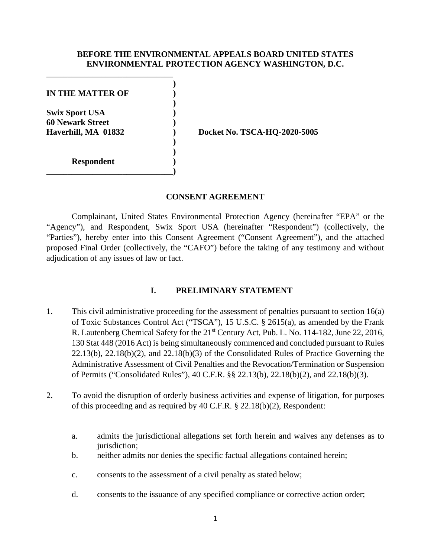#### **BEFORE THE ENVIRONMENTAL APPEALS BOARD UNITED STATES ENVIRONMENTAL PROTECTION AGENCY WASHINGTON, D.C.**

**)**

**)**

**) )**

**IN THE MATTER OF ) Swix Sport USA ) 60 Newark Street )**

**\_\_\_\_\_\_\_\_\_\_\_\_\_\_\_\_\_\_\_\_\_\_\_\_\_\_\_\_\_\_)**

**Respondent )**

\_\_\_\_\_\_\_\_\_\_\_\_\_\_\_\_\_\_\_\_\_\_\_\_\_\_\_\_\_\_

**Haverhill, MA 01832 ) Docket No. TSCA-HQ-2020-5005**

**CONSENT AGREEMENT**

Complainant, United States Environmental Protection Agency (hereinafter "EPA" or the "Agency"), and Respondent, Swix Sport USA (hereinafter "Respondent") (collectively, the "Parties"), hereby enter into this Consent Agreement ("Consent Agreement"), and the attached proposed Final Order (collectively, the "CAFO") before the taking of any testimony and without adjudication of any issues of law or fact.

# **I. PRELIMINARY STATEMENT**

- 1. This civil administrative proceeding for the assessment of penalties pursuant to section 16(a) of Toxic Substances Control Act ("TSCA"), 15 U.S.C. § 2615(a), as amended by the Frank R. Lautenberg Chemical Safety for the 21<sup>st</sup> Century Act, Pub. L. No. 114-182, June 22, 2016, 130 Stat 448 (2016 Act) is being simultaneously commenced and concluded pursuant to Rules 22.13(b), 22.18(b)(2), and 22.18(b)(3) of the Consolidated Rules of Practice Governing the Administrative Assessment of Civil Penalties and the Revocation/Termination or Suspension of Permits ("Consolidated Rules"), 40 C.F.R. §§ 22.13(b), 22.18(b)(2), and 22.18(b)(3).
- 2. To avoid the disruption of orderly business activities and expense of litigation, for purposes of this proceeding and as required by 40 C.F.R. § 22.18(b)(2), Respondent:
	- a. admits the jurisdictional allegations set forth herein and waives any defenses as to jurisdiction;
	- b. neither admits nor denies the specific factual allegations contained herein;
	- c. consents to the assessment of a civil penalty as stated below;
	- d. consents to the issuance of any specified compliance or corrective action order;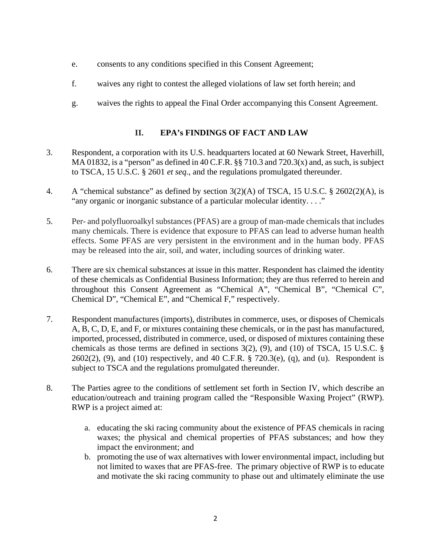- e. consents to any conditions specified in this Consent Agreement;
- f. waives any right to contest the alleged violations of law set forth herein; and
- g. waives the rights to appeal the Final Order accompanying this Consent Agreement.

# **II. EPA's FINDINGS OF FACT AND LAW**

- 3. Respondent, a corporation with its U.S. headquarters located at 60 Newark Street, Haverhill, MA 01832, is a "person" as defined in 40 C.F.R.  $\S$  710.3 and 720.3(x) and, as such, is subject to TSCA, 15 U.S.C. § 2601 *et seq.*, and the regulations promulgated thereunder.
- 4. A "chemical substance" as defined by section 3(2)(A) of TSCA, 15 U.S.C. § 2602(2)(A), is "any organic or inorganic substance of a particular molecular identity. . . ."
- 5. Per- and polyfluoroalkyl substances (PFAS) are a group of man-made chemicals that includes many chemicals. There is evidence that exposure to PFAS can lead to adverse human health effects. Some PFAS are very persistent in the environment and in the human body. PFAS may be released into the air, soil, and water, including sources of drinking water.
- 6. There are six chemical substances at issue in this matter. Respondent has claimed the identity of these chemicals as Confidential Business Information; they are thus referred to herein and throughout this Consent Agreement as "Chemical A", "Chemical B", "Chemical C", Chemical D", "Chemical E", and "Chemical F," respectively.
- 7. Respondent manufactures (imports), distributes in commerce, uses, or disposes of Chemicals A, B, C, D, E, and F, or mixtures containing these chemicals, or in the past has manufactured, imported, processed, distributed in commerce, used, or disposed of mixtures containing these chemicals as those terms are defined in sections 3(2), (9), and (10) of TSCA, 15 U.S.C. §  $2602(2)$ , (9), and (10) respectively, and 40 C.F.R. § 720.3(e), (q), and (u). Respondent is subject to TSCA and the regulations promulgated thereunder.
- 8. The Parties agree to the conditions of settlement set forth in Section IV, which describe an education/outreach and training program called the "Responsible Waxing Project" (RWP). RWP is a project aimed at:
	- a. educating the ski racing community about the existence of PFAS chemicals in racing waxes; the physical and chemical properties of PFAS substances; and how they impact the environment; and
	- b. promoting the use of wax alternatives with lower environmental impact, including but not limited to waxes that are PFAS-free. The primary objective of RWP is to educate and motivate the ski racing community to phase out and ultimately eliminate the use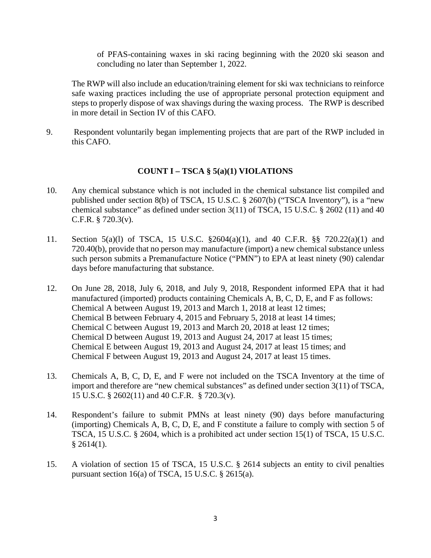of PFAS-containing waxes in ski racing beginning with the 2020 ski season and concluding no later than September 1, 2022.

The RWP will also include an education/training element for ski wax technicians to reinforce safe waxing practices including the use of appropriate personal protection equipment and steps to properly dispose of wax shavings during the waxing process. The RWP is described in more detail in Section IV of this CAFO.

9. Respondent voluntarily began implementing projects that are part of the RWP included in this CAFO.

### **COUNT I – TSCA § 5(a)(1) VIOLATIONS**

- 10. Any chemical substance which is not included in the chemical substance list compiled and published under section 8(b) of TSCA, 15 U.S.C. § 2607(b) ("TSCA Inventory"), is a "new chemical substance" as defined under section 3(11) of TSCA, 15 U.S.C. § 2602 (11) and 40 C.F.R. § 720.3(v).
- 11. Section 5(a)(l) of TSCA, 15 U.S.C. §2604(a)(1), and 40 C.F.R. §§ 720.22(a)(1) and 720.40(b), provide that no person may manufacture (import) a new chemical substance unless such person submits a Premanufacture Notice ("PMN") to EPA at least ninety (90) calendar days before manufacturing that substance.
- 12. On June 28, 2018, July 6, 2018, and July 9, 2018, Respondent informed EPA that it had manufactured (imported) products containing Chemicals A, B, C, D, E, and F as follows: Chemical A between August 19, 2013 and March 1, 2018 at least 12 times; Chemical B between February 4, 2015 and February 5, 2018 at least 14 times; Chemical C between August 19, 2013 and March 20, 2018 at least 12 times; Chemical D between August 19, 2013 and August 24, 2017 at least 15 times; Chemical E between August 19, 2013 and August 24, 2017 at least 15 times; and Chemical F between August 19, 2013 and August 24, 2017 at least 15 times.
- 13. Chemicals A, B, C, D, E, and F were not included on the TSCA Inventory at the time of import and therefore are "new chemical substances" as defined under section 3(11) of TSCA, 15 U.S.C. § 2602(11) and 40 C.F.R. § 720.3(v).
- 14. Respondent's failure to submit PMNs at least ninety (90) days before manufacturing (importing) Chemicals A, B, C, D, E, and F constitute a failure to comply with section 5 of TSCA, 15 U.S.C. § 2604, which is a prohibited act under section 15(1) of TSCA, 15 U.S.C.  $§$  2614(1).
- 15. A violation of section 15 of TSCA, 15 U.S.C. § 2614 subjects an entity to civil penalties pursuant section 16(a) of TSCA, 15 U.S.C. § 2615(a).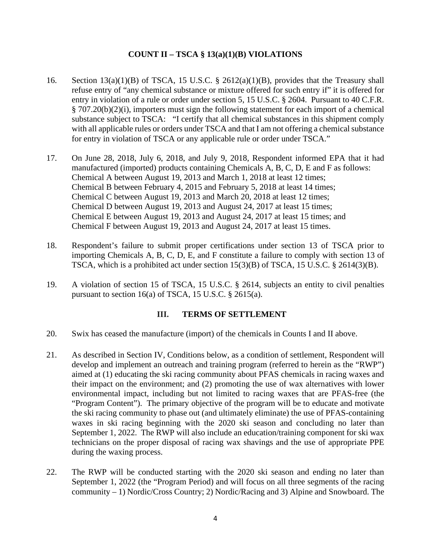## **COUNT II – TSCA § 13(a)(1)(B) VIOLATIONS**

- 16. Section 13(a)(1)(B) of TSCA, 15 U.S.C. § 2612(a)(1)(B), provides that the Treasury shall refuse entry of "any chemical substance or mixture offered for such entry if" it is offered for entry in violation of a rule or order under section 5, 15 U.S.C. § 2604. Pursuant to 40 C.F.R. § 707.20(b)(2)(i), importers must sign the following statement for each import of a chemical substance subject to TSCA: "I certify that all chemical substances in this shipment comply with all applicable rules or orders under TSCA and that I am not offering a chemical substance for entry in violation of TSCA or any applicable rule or order under TSCA."
- 17. On June 28, 2018, July 6, 2018, and July 9, 2018, Respondent informed EPA that it had manufactured (imported) products containing Chemicals A, B, C, D, E and F as follows: Chemical A between August 19, 2013 and March 1, 2018 at least 12 times; Chemical B between February 4, 2015 and February 5, 2018 at least 14 times; Chemical C between August 19, 2013 and March 20, 2018 at least 12 times; Chemical D between August 19, 2013 and August 24, 2017 at least 15 times; Chemical E between August 19, 2013 and August 24, 2017 at least 15 times; and Chemical F between August 19, 2013 and August 24, 2017 at least 15 times.
- 18. Respondent's failure to submit proper certifications under section 13 of TSCA prior to importing Chemicals A, B, C, D, E, and F constitute a failure to comply with section 13 of TSCA, which is a prohibited act under section 15(3)(B) of TSCA, 15 U.S.C. § 2614(3)(B).
- 19. A violation of section 15 of TSCA, 15 U.S.C. § 2614, subjects an entity to civil penalties pursuant to section 16(a) of TSCA, 15 U.S.C. § 2615(a).

#### **III. TERMS OF SETTLEMENT**

- 20. Swix has ceased the manufacture (import) of the chemicals in Counts I and II above.
- 21. As described in Section IV, Conditions below, as a condition of settlement, Respondent will develop and implement an outreach and training program (referred to herein as the "RWP") aimed at (1) educating the ski racing community about PFAS chemicals in racing waxes and their impact on the environment; and (2) promoting the use of wax alternatives with lower environmental impact, including but not limited to racing waxes that are PFAS-free (the "Program Content"). The primary objective of the program will be to educate and motivate the ski racing community to phase out (and ultimately eliminate) the use of PFAS-containing waxes in ski racing beginning with the 2020 ski season and concluding no later than September 1, 2022. The RWP will also include an education/training component for ski wax technicians on the proper disposal of racing wax shavings and the use of appropriate PPE during the waxing process.
- 22. The RWP will be conducted starting with the 2020 ski season and ending no later than September 1, 2022 (the "Program Period) and will focus on all three segments of the racing community – 1) Nordic/Cross Country; 2) Nordic/Racing and 3) Alpine and Snowboard. The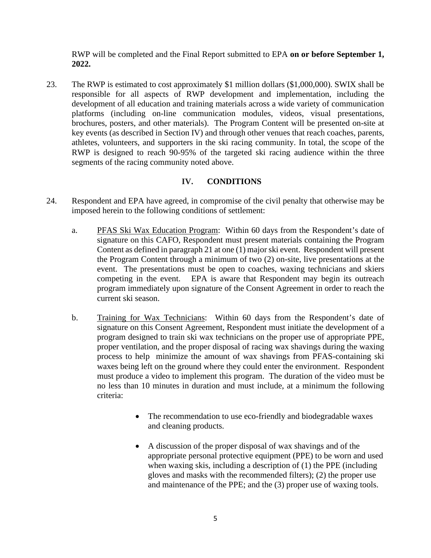RWP will be completed and the Final Report submitted to EPA **on or before September 1, 2022.**

23. The RWP is estimated to cost approximately \$1 million dollars (\$1,000,000). SWIX shall be responsible for all aspects of RWP development and implementation, including the development of all education and training materials across a wide variety of communication platforms (including on-line communication modules, videos, visual presentations, brochures, posters, and other materials). The Program Content will be presented on-site at key events (as described in Section IV) and through other venues that reach coaches, parents, athletes, volunteers, and supporters in the ski racing community. In total, the scope of the RWP is designed to reach 90-95% of the targeted ski racing audience within the three segments of the racing community noted above.

## **IV. CONDITIONS**

- 24. Respondent and EPA have agreed, in compromise of the civil penalty that otherwise may be imposed herein to the following conditions of settlement:
	- a. PFAS Ski Wax Education Program: Within 60 days from the Respondent's date of signature on this CAFO, Respondent must present materials containing the Program Content as defined in paragraph 21 at one (1) major ski event. Respondent will present the Program Content through a minimum of two (2) on-site, live presentations at the event. The presentations must be open to coaches, waxing technicians and skiers competing in the event. EPA is aware that Respondent may begin its outreach program immediately upon signature of the Consent Agreement in order to reach the current ski season.
	- b. Training for Wax Technicians: Within 60 days from the Respondent's date of signature on this Consent Agreement, Respondent must initiate the development of a program designed to train ski wax technicians on the proper use of appropriate PPE, proper ventilation, and the proper disposal of racing wax shavings during the waxing process to help minimize the amount of wax shavings from PFAS-containing ski waxes being left on the ground where they could enter the environment. Respondent must produce a video to implement this program. The duration of the video must be no less than 10 minutes in duration and must include, at a minimum the following criteria:
		- The recommendation to use eco-friendly and biodegradable waxes and cleaning products.
		- A discussion of the proper disposal of wax shavings and of the appropriate personal protective equipment (PPE) to be worn and used when waxing skis, including a description of (1) the PPE (including gloves and masks with the recommended filters); (2) the proper use and maintenance of the PPE; and the (3) proper use of waxing tools.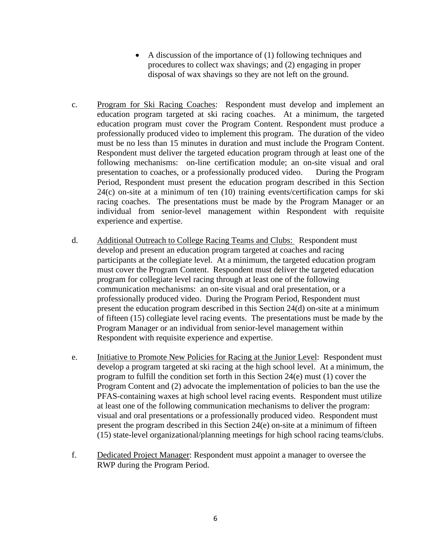- A discussion of the importance of (1) following techniques and procedures to collect wax shavings; and (2) engaging in proper disposal of wax shavings so they are not left on the ground.
- c. Program for Ski Racing Coaches: Respondent must develop and implement an education program targeted at ski racing coaches. At a minimum, the targeted education program must cover the Program Content. Respondent must produce a professionally produced video to implement this program. The duration of the video must be no less than 15 minutes in duration and must include the Program Content. Respondent must deliver the targeted education program through at least one of the following mechanisms: on-line certification module; an on-site visual and oral presentation to coaches, or a professionally produced video. During the Program Period, Respondent must present the education program described in this Section 24(c) on-site at a minimum of ten (10) training events/certification camps for ski racing coaches. The presentations must be made by the Program Manager or an individual from senior-level management within Respondent with requisite experience and expertise.
- d. Additional Outreach to College Racing Teams and Clubs: Respondent must develop and present an education program targeted at coaches and racing participants at the collegiate level. At a minimum, the targeted education program must cover the Program Content. Respondent must deliver the targeted education program for collegiate level racing through at least one of the following communication mechanisms: an on-site visual and oral presentation, or a professionally produced video. During the Program Period, Respondent must present the education program described in this Section 24(d) on-site at a minimum of fifteen (15) collegiate level racing events. The presentations must be made by the Program Manager or an individual from senior-level management within Respondent with requisite experience and expertise.
- e. Initiative to Promote New Policies for Racing at the Junior Level: Respondent must develop a program targeted at ski racing at the high school level. At a minimum, the program to fulfill the condition set forth in this Section 24(e) must (1) cover the Program Content and (2) advocate the implementation of policies to ban the use the PFAS-containing waxes at high school level racing events. Respondent must utilize at least one of the following communication mechanisms to deliver the program: visual and oral presentations or a professionally produced video. Respondent must present the program described in this Section 24(e) on-site at a minimum of fifteen (15) state-level organizational/planning meetings for high school racing teams/clubs.
- f. Dedicated Project Manager: Respondent must appoint a manager to oversee the RWP during the Program Period.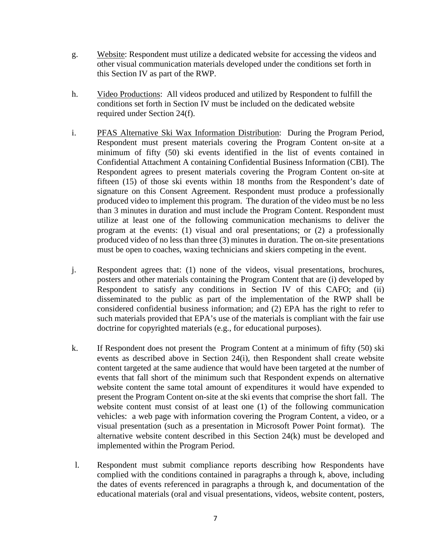- g. Website: Respondent must utilize a dedicated website for accessing the videos and other visual communication materials developed under the conditions set forth in this Section IV as part of the RWP.
- h. Video Productions: All videos produced and utilized by Respondent to fulfill the conditions set forth in Section IV must be included on the dedicated website required under Section 24(f).
- i. PFAS Alternative Ski Wax Information Distribution: During the Program Period, Respondent must present materials covering the Program Content on-site at a minimum of fifty (50) ski events identified in the list of events contained in Confidential Attachment A containing Confidential Business Information (CBI). The Respondent agrees to present materials covering the Program Content on-site at fifteen (15) of those ski events within 18 months from the Respondent's date of signature on this Consent Agreement. Respondent must produce a professionally produced video to implement this program. The duration of the video must be no less than 3 minutes in duration and must include the Program Content. Respondent must utilize at least one of the following communication mechanisms to deliver the program at the events: (1) visual and oral presentations; or (2) a professionally produced video of no less than three (3) minutes in duration. The on-site presentations must be open to coaches, waxing technicians and skiers competing in the event.
- j. Respondent agrees that: (1) none of the videos, visual presentations, brochures, posters and other materials containing the Program Content that are (i) developed by Respondent to satisfy any conditions in Section IV of this CAFO; and (ii) disseminated to the public as part of the implementation of the RWP shall be considered confidential business information; and (2) EPA has the right to refer to such materials provided that EPA's use of the materials is compliant with the fair use doctrine for copyrighted materials (e.g., for educational purposes).
- k. If Respondent does not present the Program Content at a minimum of fifty (50) ski events as described above in Section 24(i), then Respondent shall create website content targeted at the same audience that would have been targeted at the number of events that fall short of the minimum such that Respondent expends on alternative website content the same total amount of expenditures it would have expended to present the Program Content on-site at the ski events that comprise the short fall. The website content must consist of at least one (1) of the following communication vehicles: a web page with information covering the Program Content, a video, or a visual presentation (such as a presentation in Microsoft Power Point format). The alternative website content described in this Section 24(k) must be developed and implemented within the Program Period.
- l. Respondent must submit compliance reports describing how Respondents have complied with the conditions contained in paragraphs a through k, above, including the dates of events referenced in paragraphs a through k, and documentation of the educational materials (oral and visual presentations, videos, website content, posters,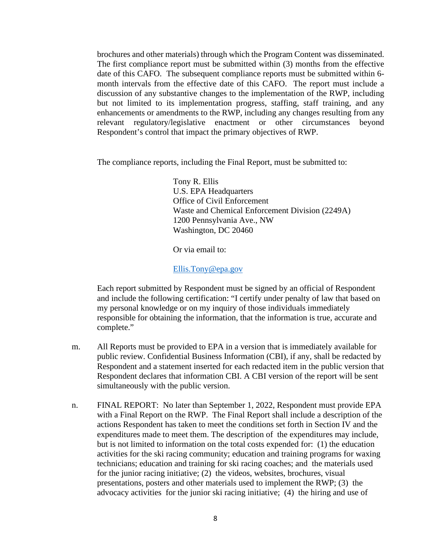brochures and other materials) through which the Program Content was disseminated. The first compliance report must be submitted within (3) months from the effective date of this CAFO. The subsequent compliance reports must be submitted within 6 month intervals from the effective date of this CAFO. The report must include a discussion of any substantive changes to the implementation of the RWP, including but not limited to its implementation progress, staffing, staff training, and any enhancements or amendments to the RWP, including any changes resulting from any relevant regulatory/legislative enactment or other circumstances beyond Respondent's control that impact the primary objectives of RWP.

The compliance reports, including the Final Report, must be submitted to:

Tony R. Ellis U.S. EPA Headquarters Office of Civil Enforcement Waste and Chemical Enforcement Division (2249A) 1200 Pennsylvania Ave., NW Washington, DC 20460

Or via email to:

Ellis.Tony@epa.gov

Each report submitted by Respondent must be signed by an official of Respondent and include the following certification: "I certify under penalty of law that based on my personal knowledge or on my inquiry of those individuals immediately responsible for obtaining the information, that the information is true, accurate and complete."

- m. All Reports must be provided to EPA in a version that is immediately available for public review. Confidential Business Information (CBI), if any, shall be redacted by Respondent and a statement inserted for each redacted item in the public version that Respondent declares that information CBI. A CBI version of the report will be sent simultaneously with the public version.
- n. FINAL REPORT: No later than September 1, 2022, Respondent must provide EPA with a Final Report on the RWP. The Final Report shall include a description of the actions Respondent has taken to meet the conditions set forth in Section IV and the expenditures made to meet them. The description of the expenditures may include, but is not limited to information on the total costs expended for: (1) the education activities for the ski racing community; education and training programs for waxing technicians; education and training for ski racing coaches; and the materials used for the junior racing initiative; (2) the videos, websites, brochures, visual presentations, posters and other materials used to implement the RWP; (3) the advocacy activities for the junior ski racing initiative; (4) the hiring and use of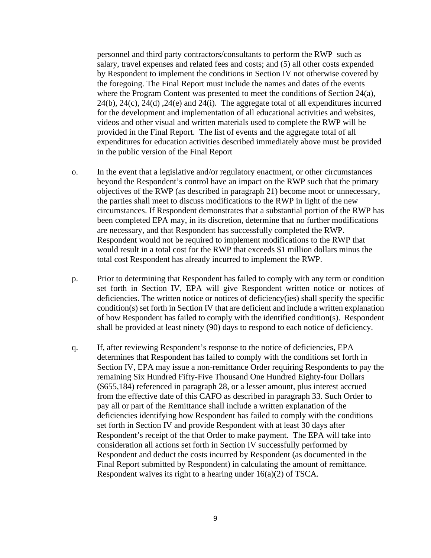personnel and third party contractors/consultants to perform the RWP such as salary, travel expenses and related fees and costs; and (5) all other costs expended by Respondent to implement the conditions in Section IV not otherwise covered by the foregoing. The Final Report must include the names and dates of the events where the Program Content was presented to meet the conditions of Section 24(a), 24(b), 24(c), 24(d) ,24(e) and 24(i). The aggregate total of all expenditures incurred for the development and implementation of all educational activities and websites, videos and other visual and written materials used to complete the RWP will be provided in the Final Report. The list of events and the aggregate total of all expenditures for education activities described immediately above must be provided in the public version of the Final Report

- o. In the event that a legislative and/or regulatory enactment, or other circumstances beyond the Respondent's control have an impact on the RWP such that the primary objectives of the RWP (as described in paragraph 21) become moot or unnecessary, the parties shall meet to discuss modifications to the RWP in light of the new circumstances. If Respondent demonstrates that a substantial portion of the RWP has been completed EPA may, in its discretion, determine that no further modifications are necessary, and that Respondent has successfully completed the RWP. Respondent would not be required to implement modifications to the RWP that would result in a total cost for the RWP that exceeds \$1 million dollars minus the total cost Respondent has already incurred to implement the RWP.
- p. Prior to determining that Respondent has failed to comply with any term or condition set forth in Section IV, EPA will give Respondent written notice or notices of deficiencies. The written notice or notices of deficiency(ies) shall specify the specific condition(s) set forth in Section IV that are deficient and include a written explanation of how Respondent has failed to comply with the identified condition(s). Respondent shall be provided at least ninety (90) days to respond to each notice of deficiency.
- q. If, after reviewing Respondent's response to the notice of deficiencies, EPA determines that Respondent has failed to comply with the conditions set forth in Section IV, EPA may issue a non-remittance Order requiring Respondents to pay the remaining Six Hundred Fifty-Five Thousand One Hundred Eighty-four Dollars (\$655,184) referenced in paragraph 28, or a lesser amount, plus interest accrued from the effective date of this CAFO as described in paragraph 33. Such Order to pay all or part of the Remittance shall include a written explanation of the deficiencies identifying how Respondent has failed to comply with the conditions set forth in Section IV and provide Respondent with at least 30 days after Respondent's receipt of the that Order to make payment. The EPA will take into consideration all actions set forth in Section IV successfully performed by Respondent and deduct the costs incurred by Respondent (as documented in the Final Report submitted by Respondent) in calculating the amount of remittance. Respondent waives its right to a hearing under 16(a)(2) of TSCA.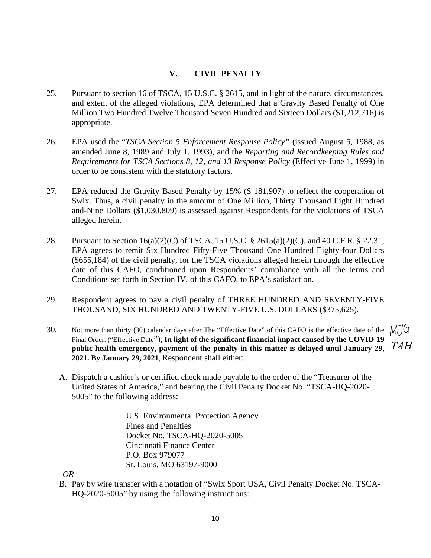### **V. CIVIL PENALTY**

- 25. Pursuant to section 16 of TSCA, 15 U.S.C. § 2615, and in light of the nature, circumstances, and extent of the alleged violations, EPA determined that a Gravity Based Penalty of One Million Two Hundred Twelve Thousand Seven Hundred and Sixteen Dollars (\$1,212,716) is appropriate.
- 26. EPA used the "*TSCA Section 5 Enforcement Response Policy"* (issued August 5, 1988, as amended June 8, 1989 and July 1, 1993), and the *Reporting and Recordkeeping Rules and Requirements for TSCA Sections 8, 12, and 13 Response Policy* (Effective June 1, 1999) in order to be consistent with the statutory factors.
- 27. EPA reduced the Gravity Based Penalty by 15% (\$ 181,907) to reflect the cooperation of Swix. Thus, a civil penalty in the amount of One Million, Thirty Thousand Eight Hundred and-Nine Dollars (\$1,030,809) is assessed against Respondents for the violations of TSCA alleged herein.
- 28. Pursuant to Section 16(a)(2)(C) of TSCA, 15 U.S.C. § 2615(a)(2)(C), and 40 C.F.R. § 22.31, EPA agrees to remit Six Hundred Fifty-Five Thousand One Hundred Eighty-four Dollars (\$655,184) of the civil penalty, for the TSCA violations alleged herein through the effective date of this CAFO, conditioned upon Respondents' compliance with all the terms and Conditions set forth in Section IV, of this CAFO, to EPA's satisfaction.
- 29. Respondent agrees to pay a civil penalty of THREE HUNDRED AND SEVENTY-FIVE THOUSAND, SIX HUNDRED AND TWENTY-FIVE U.S. DOLLARS (\$375,625).
- 30. Not more than thirty (30) calendar days after The "Effective Date" of this CAFO is the effective date of the  $M\overline{J}G$ Final Order. ("Effective Date"), In light of the significant financial impact caused by the COVID-19 **public health emergency, payment of the penalty in this matter is delayed until January 29,** *TAH***2021. By January 29, 2021**, Respondent shall either:
	- A. Dispatch a cashier's or certified check made payable to the order of the "Treasurer of the United States of America," and bearing the Civil Penalty Docket No. "TSCA-HQ-2020- 5005" to the following address:

U.S. Environmental Protection Agency Fines and Penalties Docket No. TSCA-HQ-2020-5005 Cincinnati Finance Center P.O. Box 979077 St. Louis, MO 63197-9000

*OR*

B. Pay by wire transfer with a notation of "Swix Sport USA, Civil Penalty Docket No. TSCA-HQ-2020-5005" by using the following instructions: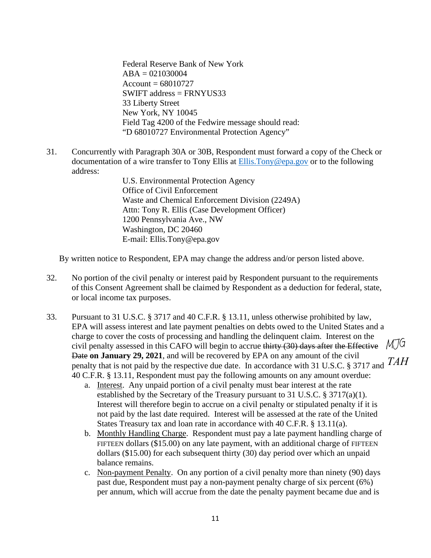Federal Reserve Bank of New York  $ABA = 021030004$  $Account = 68010727$ SWIFT address = FRNYUS33 33 Liberty Street New York, NY 10045 Field Tag 4200 of the Fedwire message should read: "D 68010727 Environmental Protection Agency"

31. Concurrently with Paragraph 30A or 30B, Respondent must forward a copy of the Check or documentation of a wire transfer to Tony Ellis at Ellis.Tony@epa.gov or to the following address:

> U.S. Environmental Protection Agency Office of Civil Enforcement Waste and Chemical Enforcement Division (2249A) Attn: Tony R. Ellis (Case Development Officer) 1200 Pennsylvania Ave., NW Washington, DC 20460 E-mail: Ellis.Tony@epa.gov

By written notice to Respondent, EPA may change the address and/or person listed above.

- 32. No portion of the civil penalty or interest paid by Respondent pursuant to the requirements of this Consent Agreement shall be claimed by Respondent as a deduction for federal, state, or local income tax purposes.
- 33. Pursuant to 31 U.S.C. § 3717 and 40 C.F.R. § 13.11, unless otherwise prohibited by law, EPA will assess interest and late payment penalties on debts owed to the United States and a charge to cover the costs of processing and handling the delinquent claim. Interest on the civil penalty assessed in this CAFO will begin to accrue thirty  $(30)$  days after the Effective  $M\overline{J}G$ Date **on January 29, 2021**, and will be recovered by EPA on any amount of the civil penalty that is not paid by the respective due date. In accordance with 31 U.S.C. § 3717 and *TAH*40 C.F.R. § 13.11, Respondent must pay the following amounts on any amount overdue:
	- a. Interest. Any unpaid portion of a civil penalty must bear interest at the rate established by the Secretary of the Treasury pursuant to 31 U.S.C. § 3717(a)(1). Interest will therefore begin to accrue on a civil penalty or stipulated penalty if it is not paid by the last date required. Interest will be assessed at the rate of the United States Treasury tax and loan rate in accordance with 40 C.F.R. § 13.11(a).
	- b. Monthly Handling Charge. Respondent must pay a late payment handling charge of FIFTEEN dollars (\$15.00) on any late payment, with an additional charge of FIFTEEN dollars (\$15.00) for each subsequent thirty (30) day period over which an unpaid balance remains.
	- c. Non-payment Penalty. On any portion of a civil penalty more than ninety (90) days past due, Respondent must pay a non-payment penalty charge of six percent (6%) per annum, which will accrue from the date the penalty payment became due and is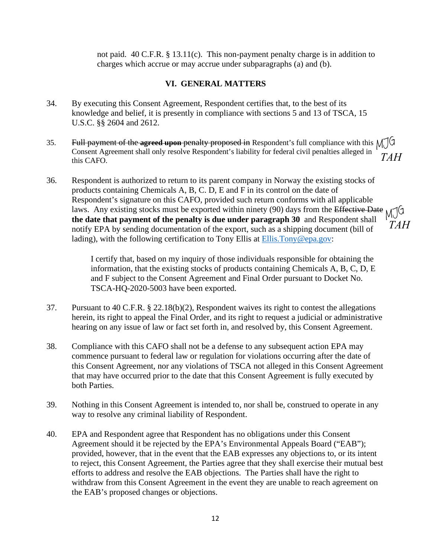not paid. 40 C.F.R. § 13.11(c). This non-payment penalty charge is in addition to charges which accrue or may accrue under subparagraphs (a) and (b).

## **VI. GENERAL MATTERS**

- 34. By executing this Consent Agreement, Respondent certifies that, to the best of its knowledge and belief, it is presently in compliance with sections 5 and 13 of TSCA, 15 U.S.C. §§ 2604 and 2612.
- 35. Full payment of the **agreed upon** penalty proposed in Respondent's full compliance with this Consent Agreement shall only resolve Respondent's liability for federal civil penalties alleged in this CAFO. *TAH*
- 36. Respondent is authorized to return to its parent company in Norway the existing stocks of products containing Chemicals A, B, C. D, E and F in its control on the date of Respondent's signature on this CAFO, provided such return conforms with all applicable laws. Any existing stocks must be exported within ninety (90) days from the Effective Date **the date that payment of the penalty is due under paragraph 30** and Respondent shall notify EPA by sending documentation of the export, such as a shipping document (bill of lading), with the following certification to Tony Ellis at Ellis. Tony@epa.gov: MJG<br>*TAH*<br>ate <sub>M</sub>JG *TAH*

I certify that, based on my inquiry of those individuals responsible for obtaining the information, that the existing stocks of products containing Chemicals A, B, C, D, E and F subject to the Consent Agreement and Final Order pursuant to Docket No. TSCA-HQ-2020-5003 have been exported.

- 37. Pursuant to 40 C.F.R. § 22.18(b)(2), Respondent waives its right to contest the allegations herein, its right to appeal the Final Order, and its right to request a judicial or administrative hearing on any issue of law or fact set forth in, and resolved by, this Consent Agreement.
- 38. Compliance with this CAFO shall not be a defense to any subsequent action EPA may commence pursuant to federal law or regulation for violations occurring after the date of this Consent Agreement, nor any violations of TSCA not alleged in this Consent Agreement that may have occurred prior to the date that this Consent Agreement is fully executed by both Parties.
- 39. Nothing in this Consent Agreement is intended to, nor shall be, construed to operate in any way to resolve any criminal liability of Respondent.
- 40. EPA and Respondent agree that Respondent has no obligations under this Consent Agreement should it be rejected by the EPA's Environmental Appeals Board ("EAB"); provided, however, that in the event that the EAB expresses any objections to, or its intent to reject, this Consent Agreement, the Parties agree that they shall exercise their mutual best efforts to address and resolve the EAB objections. The Parties shall have the right to withdraw from this Consent Agreement in the event they are unable to reach agreement on the EAB's proposed changes or objections.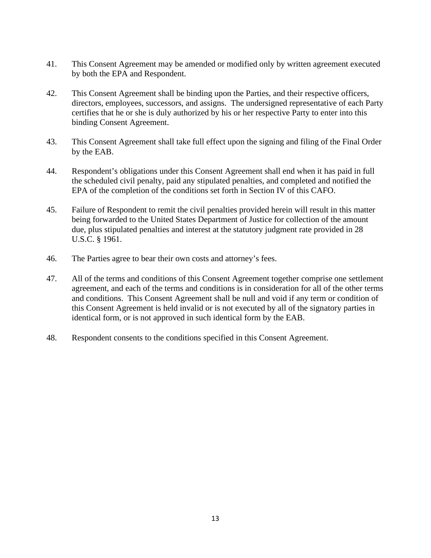- 41. This Consent Agreement may be amended or modified only by written agreement executed by both the EPA and Respondent.
- 42. This Consent Agreement shall be binding upon the Parties, and their respective officers, directors, employees, successors, and assigns. The undersigned representative of each Party certifies that he or she is duly authorized by his or her respective Party to enter into this binding Consent Agreement.
- 43. This Consent Agreement shall take full effect upon the signing and filing of the Final Order by the EAB.
- 44. Respondent's obligations under this Consent Agreement shall end when it has paid in full the scheduled civil penalty, paid any stipulated penalties, and completed and notified the EPA of the completion of the conditions set forth in Section IV of this CAFO.
- 45. Failure of Respondent to remit the civil penalties provided herein will result in this matter being forwarded to the United States Department of Justice for collection of the amount due, plus stipulated penalties and interest at the statutory judgment rate provided in 28 U.S.C. § 1961.
- 46. The Parties agree to bear their own costs and attorney's fees.
- 47. All of the terms and conditions of this Consent Agreement together comprise one settlement agreement, and each of the terms and conditions is in consideration for all of the other terms and conditions. This Consent Agreement shall be null and void if any term or condition of this Consent Agreement is held invalid or is not executed by all of the signatory parties in identical form, or is not approved in such identical form by the EAB.
- 48. Respondent consents to the conditions specified in this Consent Agreement.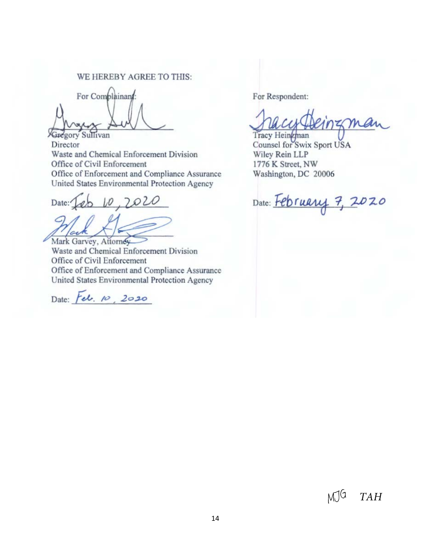#### WE HEREBY AGREE TO THIS:

For Complainant:

**Gregory Sullivan** Director Waste and Chemical Enforcement Division Office of Civil Enforcement Office of Enforcement and Compliance Assurance United States Environmental Protection Agency

Date: Jeb 10, 2020

Mark Garvey, Attorney

Waste and Chemical Enforcement Division Office of Civil Enforcement Office of Enforcement and Compliance Assurance United States Environmental Protection Agency

Date: Feb. 10, 2020

For Respondent:

Tracy Heinzman Counsel for Swix Sport USA Wiley Rein LLP 1776 K Street, NW Washington, DC 20006

Date: February 7, 2020